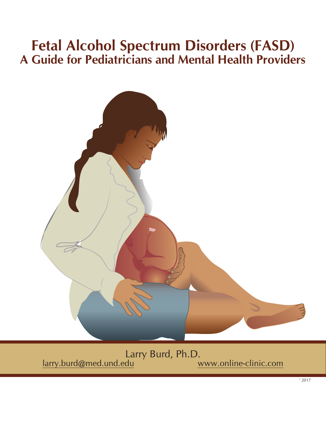# **Fetal Alcohol Spectrum Disorders (FASD) A Guide for Pediatricians and Mental Health Providers**



Larry Burd, Ph.D.<br>larry.burd@med.und.edu www.online-clinic.com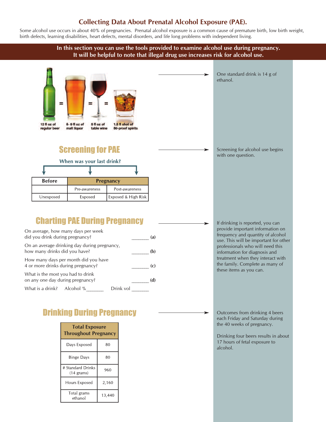### **Collecting Data About Prenatal Alcohol Exposure (PAE).**

Some alcohol use occurs in about 40% of pregnancies. Prenatal alcohol exposure is a common cause of premature birth, low birth weight, birth defects, learning disabilities, heart defects, mental disorders, and life long problems with independent living.

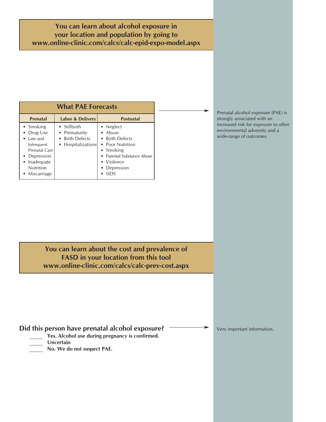**You can learn about alcohol exposure in your location and population by going to www.online-clinic.com/calcs/calc-epid-expo-model.aspx**

| <b>What PAE Forecasts</b>                                                                                                                        |                                                                        |                                                                                                                                                            |
|--------------------------------------------------------------------------------------------------------------------------------------------------|------------------------------------------------------------------------|------------------------------------------------------------------------------------------------------------------------------------------------------------|
| <b>Prenatal</b>                                                                                                                                  | Labor & Delivery                                                       | <b>Postnatal</b>                                                                                                                                           |
| • Smoking<br>Drug Use<br>Late and<br>٠<br>Infrequent<br>Prenatal Care<br>• Depression<br>Inadequate<br>٠<br><b>Nutrition</b><br>Miscarriage<br>٠ | • Stillbirth<br>• Prematurity<br>• Birth Defects<br>• Hospitalizations | • Neglect<br>• Abuse<br>• Birth Defects<br>• Poor Nutrition<br>• Smoking<br>Parental Substance Abuse<br>Violence<br>$\bullet$<br>Depression<br><b>SIDS</b> |

Prenatal alcohol exposure (PAE) is strongly associated with an increased risk for exposure to other environmental adversity and a wide-range of outcomes.

 $\overline{\phantom{a}}$ 

**You can learn about the cost and prevalence of FASD in your location from this tool www.online-clinic.com/calcs/calc-prev-cost.aspx**

### **Did this person have prenatal alcohol exposure?**

- **\_\_\_\_\_ Yes. Alcohol use during pregnancy is confirmed.**
- **\_\_\_\_\_ Uncertain**
- **\_\_\_\_\_ No. We do not suspect PAE.**

Very important information.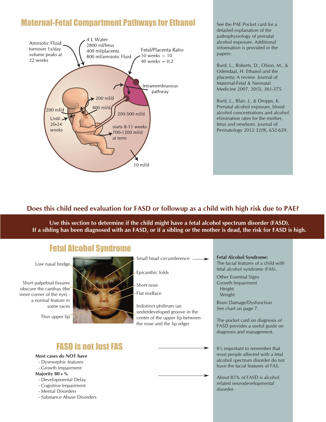# Maternal-Fetal Compartment Pathways for Ethanol



See the PAE Pocket card for a detailed explanation of the pathophysiology of prenatal alcohol exposure. Additional information is provided in the papers:

Burd, L., Roberts, D., Olson, M., & Odendaal, H. Ethanol and the placenta: A review. Journal of Maternal-Fetal & Neonatal Medicine 2007, 20(5), 361-375.

Burd, L., Blair, J., & Dropps, K. Prenatal alcohol exposure, blood alcohol concentrations and alcohol elimination rates for the mother, fetus and newborn. Journal of Perinatology 2012 32(9), 652-659.

### **Does this child need evaluation for FASD or followup as a child with high risk due to PAE?**

**Use this section to determine if the child might have a fetal alcohol spectrum disorder (FASD).** If a sibling has been diagnosed with an FASD, or if a sibling or the mother is dead, the risk for FASD is high.

### Fetal Alcohol Syndrome

Low nasal bridge

Short palpebral fissures obscure the canthus (the inner corner of the eye) a normal feature in some races

Thin upper lip



Small head circumference

Epicanthic folds

Short nose

Flat midface

Indistinct philtrum (an underdeveloped groove in the center of the upper lip between the nose and the lip edge)

### **FASD is not Just FAS**

#### **Most cases do NOT have**

- Dysmorphic features
- Growth Impairment
- **Majority 80+%**
- Developmental Delay
- Cognitive Impairment
- Mental Disorders
- Substance Abuse Disorders

#### The facial features of a child with fetal alcohol syndrome (FAS). Other Essential Signs

Growth Impairment Height Weight

**Fetal Alcohol Syndrome:**

Brain Damage/Dysfunction See chart on page 7.

The pocket card on diagnosis of FASD provides a useful guide on diagnosis and management.

It's important to remember that most people affected with a fetal alcohol spectrum disorder do not have the facial features of FAS.

About 85% of FASD is alcohol related neurodevelopmental disorder.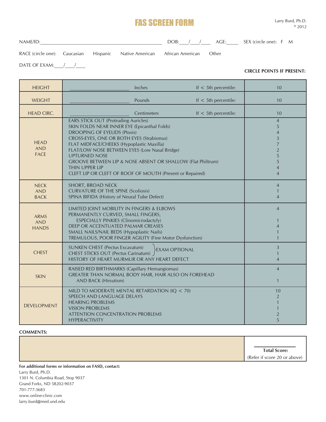### FAS SCREEN FORM

NAME/ID:\_\_\_\_\_\_\_\_\_\_\_\_\_\_\_\_\_\_\_\_\_\_\_\_\_\_\_\_\_\_\_\_\_\_\_\_\_\_\_\_\_\_\_\_\_\_\_\_\_\_\_ DOB:\_\_\_\_/\_\_\_\_/\_\_\_\_ AGE:\_\_\_\_\_ SEX (circle one): F M

DATE OF EXAM:  $\qquad /$ 

RACE (circle one): Caucasian Hispanic Native American African American Other

**CIRCLE POINTS IF PRESENT:**

| <b>HEIGHT</b>                             | Inches                                                                                                                                                                                                                                                                                                                                                                                                                                                     | If $<$ 5th percentile:                      | 10                                                                                                                           |
|-------------------------------------------|------------------------------------------------------------------------------------------------------------------------------------------------------------------------------------------------------------------------------------------------------------------------------------------------------------------------------------------------------------------------------------------------------------------------------------------------------------|---------------------------------------------|------------------------------------------------------------------------------------------------------------------------------|
| <b>WEIGHT</b>                             | Pounds                                                                                                                                                                                                                                                                                                                                                                                                                                                     | If $<$ 5th percentile:                      | 10                                                                                                                           |
| <b>HEAD CIRC.</b>                         | Centimeters                                                                                                                                                                                                                                                                                                                                                                                                                                                | If $<$ 5th percentile:                      | 10                                                                                                                           |
| <b>HEAD</b><br><b>AND</b><br><b>FACE</b>  | <b>EARS STICK OUT (Protruding Auricles)</b><br>SKIN FOLDS NEAR INNER EYE (Epicanthal Folds)<br><b>DROOPING OF EYELIDS (Ptosis)</b><br>CROSS-EYES, ONE OR BOTH EYES (Strabismus)<br>FLAT MIDFACE/CHEEKS (Hypoplastic Maxilla)<br>FLAT/LOW NOSE BETWEEN EYES (Low Nasal Bridge)<br><b>UPTURNED NOSE</b><br>GROOVE BETWEEN LIP & NOSE ABSENT OR SHALLOW (Flat Philtrum)<br><b>THIN UPPER LIP</b><br>CLEFT LIP OR CLEFT OF ROOF OF MOUTH (Present or Repaired) |                                             | $\overline{4}$<br>5<br>$\overline{4}$<br>3<br>$\overline{7}$<br>$\overline{2}$<br>5<br>5<br>$\overline{4}$<br>$\overline{4}$ |
| <b>NECK</b><br><b>AND</b><br><b>BACK</b>  | SHORT, BROAD NECK<br><b>CURVATURE OF THE SPINE (Scoliosis)</b><br>SPINA BIFIDA (History of Neural Tube Defect)                                                                                                                                                                                                                                                                                                                                             |                                             | $\overline{4}$<br>$\mathbf{1}$<br>$\overline{4}$                                                                             |
| <b>ARMS</b><br><b>AND</b><br><b>HANDS</b> | LIMITED JOINT MOBILITY IN FINGERS & ELBOWS<br>PERMANENTLY CURVED, SMALL FINGERS,<br>ESPECIALLY PINKIES (Clinomicrodactyly)<br>DEEP OR ACCENTUATED PALMAR CREASES<br>SMALL NAILS/NAIL BEDS (Hypoplastic Nails)<br>TREMULOUS, POOR FINGER AGILITY (Fine Motor Dysfunction)                                                                                                                                                                                   | $\overline{4}$<br>4<br>$\mathbf{1}$         |                                                                                                                              |
| <b>CHEST</b>                              | <b>SUNKEN CHEST (Pectus Excavatum)</b><br><b>EXAM OPTIONAL</b><br><b>CHEST STICKS OUT (Pectus Carinatum)</b><br>HISTORY OF HEART MURMUR OR ANY HEART DEFECT                                                                                                                                                                                                                                                                                                | 3<br>$\mathbf{1}$<br>$\overline{4}$         |                                                                                                                              |
| <b>SKIN</b>                               | RAISED RED BIRTHMARKS (Capillary Hemangiomas)<br>GREATER THAN NORMAL BODY HAIR, HAIR ALSO ON FOREHEAD<br><b>AND BACK (Hirsutism)</b>                                                                                                                                                                                                                                                                                                                       | $\overline{4}$<br>$\mathbf{1}$              |                                                                                                                              |
| <b>DEVELOPMENT</b>                        | MILD TO MODERATE MENTAL RETARDATION (IQ < 70)<br>SPEECH AND LANGUAGE DELAYS<br><b>HEARING PROBLEMS</b><br><b>VISION PROBLEMS</b><br><b>ATTENTION CONCENTRATION PROBLEMS</b><br><b>HYPERACTIVITY</b>                                                                                                                                                                                                                                                        | 10<br>$\overline{2}$<br>$\overline{2}$<br>5 |                                                                                                                              |

#### **COMMENTS:**

(Refer if score 20 or above) **Total Score:**

**For additional forms or information on FASD, contact:** Larry Burd, Ph.D. 1301 N. Columbia Road, Stop 9037

Grand Forks, ND 58202-9037 701-777-3683 www.online-clinic.com larry.burd@med.und.edu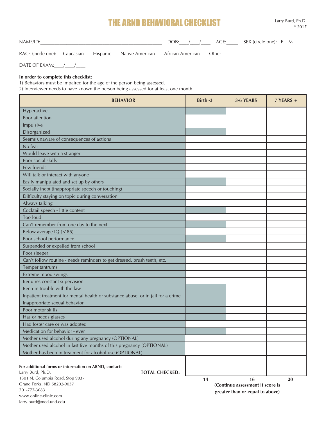## THE ARND BEHAVIORAL CHECKLIST

NAME/ID: NAME CHE SEX (circle one): F M

RACE (circle one): Caucasian Hispanic Native American African American Other

www.online-clinic.com larry.burd@med.und.edu

DATE OF EXAM:  $\qquad /$ 

#### **In order to complete this checklist:**

1) Behaviors must be impaired for the age of the person being assessed.

2) Interviewer needs to have known the person being assessed for at least one month.

| <b>BEHAVIOR</b>                                                                                     | Birth -3 | 3-6 YEARS                                                            | $7$ YEARS + |
|-----------------------------------------------------------------------------------------------------|----------|----------------------------------------------------------------------|-------------|
| Hyperactive                                                                                         |          |                                                                      |             |
| Poor attention                                                                                      |          |                                                                      |             |
| Impulsive                                                                                           |          |                                                                      |             |
| Disorganized                                                                                        |          |                                                                      |             |
| Seems unaware of consequences of actions                                                            |          |                                                                      |             |
| No fear                                                                                             |          |                                                                      |             |
| Would leave with a stranger                                                                         |          |                                                                      |             |
| Poor social skills                                                                                  |          |                                                                      |             |
| Few friends                                                                                         |          |                                                                      |             |
| Will talk or interact with anyone                                                                   |          |                                                                      |             |
| Easily manipulated and set up by others                                                             |          |                                                                      |             |
| Socially inept (inappropriate speech or touching)                                                   |          |                                                                      |             |
| Difficulty staying on topic during conversation                                                     |          |                                                                      |             |
| Always talking                                                                                      |          |                                                                      |             |
| Cocktail speech - little content                                                                    |          |                                                                      |             |
| <b>Too loud</b>                                                                                     |          |                                                                      |             |
| Can't remember from one day to the next                                                             |          |                                                                      |             |
| Below average IQ (<85)                                                                              |          |                                                                      |             |
| Poor school performance                                                                             |          |                                                                      |             |
| Suspended or expelled from school                                                                   |          |                                                                      |             |
| Poor sleeper                                                                                        |          |                                                                      |             |
| Can't follow routine - needs reminders to get dressed, brush teeth, etc.                            |          |                                                                      |             |
| Temper tantrums                                                                                     |          |                                                                      |             |
| Extreme mood swings                                                                                 |          |                                                                      |             |
| Requires constant supervision                                                                       |          |                                                                      |             |
| Been in trouble with the law                                                                        |          |                                                                      |             |
| Inpatient treatment for mental health or substance abuse, or in jail for a crime                    |          |                                                                      |             |
| Inappropriate sexual behavior                                                                       |          |                                                                      |             |
| Poor motor skills                                                                                   |          |                                                                      |             |
| Has or needs glasses                                                                                |          |                                                                      |             |
| Had foster care or was adopted                                                                      |          |                                                                      |             |
| Medication for behavior - ever                                                                      |          |                                                                      |             |
| Mother used alcohol during any pregnancy (OPTIONAL)                                                 |          |                                                                      |             |
| Mother used alcohol in last five months of this pregnancy (OPTIONAL)                                |          |                                                                      |             |
| Mother has been in treatment for alcohol use (OPTIONAL)                                             |          |                                                                      |             |
| For additional forms or information on ARND, contact:<br>Larry Burd, Ph.D.<br><b>TOTAL CHECKED:</b> |          |                                                                      |             |
| 1301 N. Columbia Road, Stop 9037                                                                    | 14       | 16                                                                   | 20          |
| Grand Forks, ND 58202-9037<br>701-777-3683                                                          |          | (Continue assessment if score is<br>Covede of Leuno vo gradt voteove |             |

**greater than or equal to above)**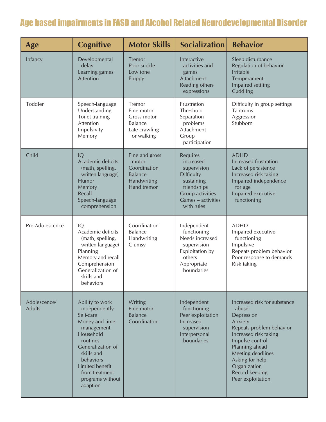# Age based impairments in FASD and Alcohol Related Neurodevelopmental Disorder

| Age                           | <b>Cognitive</b>                                                                                                                                                                                                            | <b>Motor Skills</b>                                                                     | <b>Socialization</b>                                                                                                                           | <b>Behavior</b>                                                                                                                                                                                                                                         |
|-------------------------------|-----------------------------------------------------------------------------------------------------------------------------------------------------------------------------------------------------------------------------|-----------------------------------------------------------------------------------------|------------------------------------------------------------------------------------------------------------------------------------------------|---------------------------------------------------------------------------------------------------------------------------------------------------------------------------------------------------------------------------------------------------------|
| Infancy                       | Developmental<br>delay<br>Learning games<br>Attention                                                                                                                                                                       | Tremor<br>Poor suckle<br>Low tone<br>Floppy                                             | Interactive<br>activities and<br>games<br>Attachment<br>Reading others<br>expressions                                                          | Sleep disturbance<br>Regulation of behavior<br><b>Irritable</b><br>Temperament<br>Impaired settling<br>Cuddling                                                                                                                                         |
| Toddler                       | Speech-language<br>Understanding<br>Toilet training<br>Attention<br>Impulsivity<br>Memory                                                                                                                                   | Tremor<br>Fine motor<br>Gross motor<br><b>Balance</b><br>Late crawling<br>or walking    | Frustration<br>Threshold<br>Separation<br>problems<br>Attachment<br>Group<br>participation                                                     | Difficulty in group settings<br>Tantrums<br>Aggression<br>Stubborn                                                                                                                                                                                      |
| Child                         | IQ<br>Academic deficits<br>(math, spelling,<br>written language)<br><b>Humor</b><br>Memory<br>Recall<br>Speech-language<br>comprehension                                                                                    | Fine and gross<br>motor<br>Coordination<br><b>Balance</b><br>Handwriting<br>Hand tremor | Requires<br>increased<br>supervision<br><b>Difficulty</b><br>sustaining<br>friendships<br>Group activities<br>Games - activities<br>with rules | <b>ADHD</b><br>Increased frustration<br>Lack of persistence<br>Increased risk taking<br>Impaired independence<br>for age<br>Impaired executive<br>functioning                                                                                           |
| Pre-Adolescence               | IQ<br>Academic deficits<br>(math, spelling,<br>written language)<br>Planning<br>Memory and recall<br>Comprehension<br>Generalization of<br>skills and<br>behaviors                                                          | Coordination<br><b>Balance</b><br>Handwriting<br>Clumsy                                 | Independent<br>functioning<br>Needs increased<br>supervision<br>Exploitation by<br>others<br>Appropriate<br>boundaries                         | <b>ADHD</b><br>Impaired executive<br>functioning<br>Impulsive<br>Repeats problem behavior<br>Poor response to demands<br>Risk taking                                                                                                                    |
| Adolescence/<br><b>Adults</b> | Ability to work<br>independently<br>Self-care<br>Money and time<br>management<br>Household<br>routines<br>Generalization of<br>skills and<br>behaviors<br>Limited benefit<br>from treatment<br>programs without<br>adaption | Writing<br>Fine motor<br><b>Balance</b><br>Coordination                                 | Independent<br>functioning<br>Peer exploitation<br>Increased<br>supervision<br>Interpersonal<br>boundaries                                     | Increased risk for substance<br>abuse<br>Depression<br>Anxiety<br>Repeats problem behavior<br>Increased risk taking<br>Impulse control<br>Planning ahead<br>Meeting deadlines<br>Asking for help<br>Organization<br>Record keeping<br>Peer exploitation |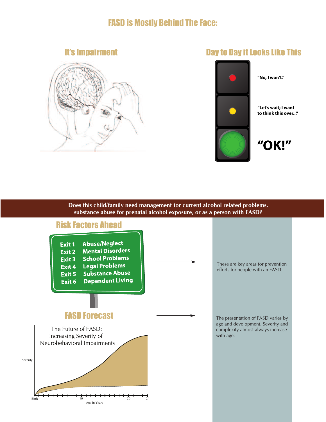## FASD is Mostly Behind The Face:

### It's Impairment



### **Day to Day it Looks Like This**



**"Let's wait; I want to think this over..."**

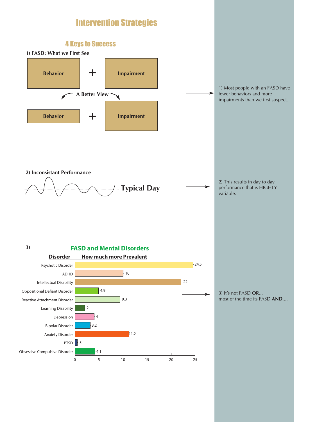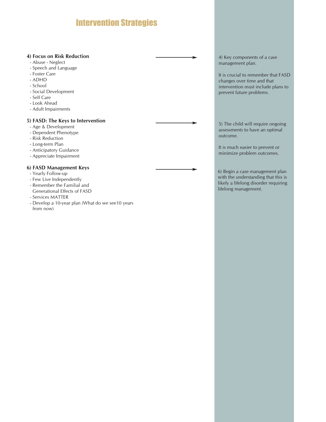# Intervention Strategies

#### **4) Focus on Risk Reduction**

- Abuse Neglect
- Speech and Language
- Foster Care
- ADHD
- School
- Social Development
- Self Care
- Look Ahead
- Adult Impairments

#### **5) FASD: The Keys to Intervention**

- Age & Development
- Dependent Phenotype
- Risk Reduction
- Long-term Plan
- Anticipatory Guidance
- Appreciate Impairment

#### **6) FASD Management Keys**

- Yearly Follow-up
- Few Live Independently
- Remember the Familial and Generational Effects of FASD
- Services MATTER
- Develop a 10-year plan (What do we see10 years from now)

4) Key components of a case management plan.

It is crucial to remember that FASD changes over time and that intervention must include plans to prevent future problems.

5) The child will require ongoing assessments to have an optimal outcome.

It is much easier to prevent or minimize problem outcomes.

6) Begin a case management plan with the understanding that this is likely a lifelong disorder requiring lifelong management.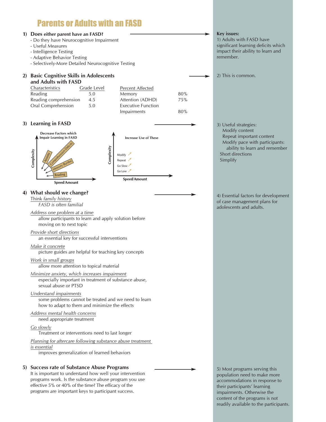# Parents or Adults with an FASD

#### **1) Does either parent have an FASD?**

- Do they have Neurocognitive Impairment
- Useful Measures
- Intelligence Testing
- Adaptive Behavior Testing

Oral Comprehension 5.0

- Selectively-More Detailed Neurocognitive Testing

#### **2) Basic Cognitive Skills in Adolescents and Adults with FASD** Characteristics Grade Level Reading 5.0 Reading comprehension 4.5 Percent Affected Memory 80% Attention (ADHD) 75%

#### **3) Learning in FASD**



Executive Function

Impairments 80%

#### **4) What should we change?**

Think *family history FASD is often familial*

*Address one problem at a time* allow participants to learn and apply solution before moving on to next topic

### *Provide short directions*

an essential key for successful interventions

#### *Make it concrete*

picture guides are helpful for teaching key concepts

#### *Work in small groups*

allow more attention to topical material

*Minimize anxiety, which increases impairment* especially important in treatment of substance abuse, sexual abuse or PTSD

#### *Understand impairments*

some problems cannot be treated and we need to learn how to adapt to them and minimize the effects

### *Address mental health concerns*

need appropriate treatment

#### *Go slowly*

Treatment or interventions need to last longer

*Planning for aftercare following substance abuse treatment is essential*

improves generalization of learned behaviors

#### **5) Success rate of Substance Abuse Programs**

It is important to understand how well your intervention programs work. Is the substance abuse program you use effective 5% or 40% of the time? The efficacy of the programs are important keys to participant success.

#### **Key issues:**

1) Adults with FASD have significant learning deficits which impact their ability to learn and remember.

2) This is common.

3) Useful strategies: Modify content Repeat important content Modify pace with participants: ability to learn and remember Short directions Simplify

4) Essential factors for development of case management plans for adolescents and adults.

5) Most programs serving this population need to make more accommodations in response to their participants' learning impairments. Otherwise the content of the programs is not readily available to the participants.